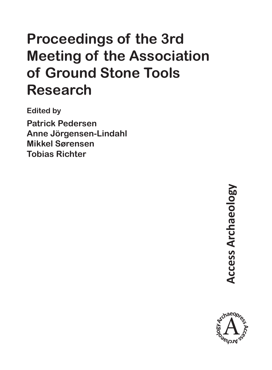# **Proceedings of the 3rd Meeting of the Association of Ground Stone Tools Research**

**Edited by Patrick Pedersen Anne Jörgensen-Lindahl Mikkel Sørensen Tobias Richter**

> **Access Archaeology Access Archaeology**

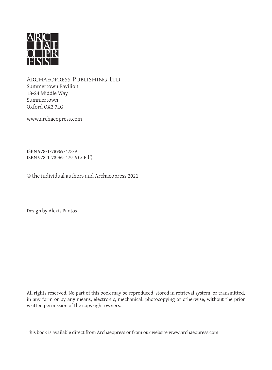

Archaeopress Publishing Ltd Summertown Pavilion 18-24 Middle Way Summertown Oxford OX2 7LG

www.archaeopress.com

ISBN 978-1-78969-478-9 ISBN 978-1-78969-479-6 (e-Pdf)

© the individual authors and Archaeopress 2021

Design by Alexis Pantos

All rights reserved. No part of this book may be reproduced, stored in retrieval system, or transmitted, in any form or by any means, electronic, mechanical, photocopying or otherwise, without the prior written permission of the copyright owners.

This book is available direct from Archaeopress or from our website www.archaeopress.com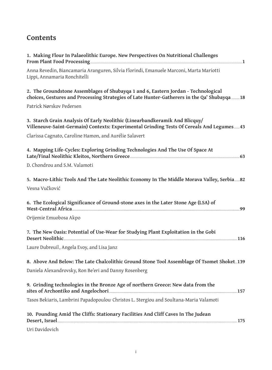#### **Contents**

| 1. Making Flour In Palaeolithic Europe. New Perspectives On Nutritional Challenges                                                                                                                                                                                                                                                 |
|------------------------------------------------------------------------------------------------------------------------------------------------------------------------------------------------------------------------------------------------------------------------------------------------------------------------------------|
| Anna Revedin, Biancamaria Aranguren, Silvia Florindi, Emanuele Marconi, Marta Mariotti<br>Lippi, Annamaria Ronchitelli                                                                                                                                                                                                             |
| 2. The Groundstone Assemblages of Shubayqa 1 and 6, Eastern Jordan - Technological<br>choices, Gestures and Processing Strategies of Late Hunter-Gatherers in the Qa' Shubayqa  18                                                                                                                                                 |
| Patrick Nørskov Pedersen                                                                                                                                                                                                                                                                                                           |
| 3. Starch Grain Analysis Of Early Neolithic (Linearbandkeramik And Blicquy/<br>Villeneuve-Saint-Germain) Contexts: Experimental Grinding Tests Of Cereals And Legumes 43                                                                                                                                                           |
| Clarissa Cagnato, Caroline Hamon, and Aurélie Salavert                                                                                                                                                                                                                                                                             |
| 4. Mapping Life-Cycles: Exploring Grinding Technologies And The Use Of Space At                                                                                                                                                                                                                                                    |
| D. Chondrou and S.M. Valamoti                                                                                                                                                                                                                                                                                                      |
| 5. Macro-Lithic Tools And The Late Neolithic Economy In The Middle Morava Valley, Serbia 82                                                                                                                                                                                                                                        |
| Vesna Vučković                                                                                                                                                                                                                                                                                                                     |
| 6. The Ecological Significance of Ground-stone axes in the Later Stone Age (LSA) of<br>West-Central Africa<br>.99                                                                                                                                                                                                                  |
| Orijemie Emuobosa Akpo                                                                                                                                                                                                                                                                                                             |
| 7. The New Oasis: Potential of Use-Wear for Studying Plant Exploitation in the Gobi<br>Desert Neolithic <u>Communications</u> of the contract of the contract of the contract of the contract of the contract of the contract of the contract of the contract of the contract of the contract of the contract of the contr<br>.116 |
| Laure Dubreuil, Angela Evoy, and Lisa Janz                                                                                                                                                                                                                                                                                         |
| 8. Above And Below: The Late Chalcolithic Ground Stone Tool Assemblage Of Tsomet Shoket139                                                                                                                                                                                                                                         |
| Daniela Alexandrovsky, Ron Be'eri and Danny Rosenberg                                                                                                                                                                                                                                                                              |
| 9. Grinding technologies in the Bronze Age of northern Greece: New data from the                                                                                                                                                                                                                                                   |
| Tasos Bekiaris, Lambrini Papadopoulou <sup>,</sup> Christos L. Stergiou and Soultana-Maria Valamoti                                                                                                                                                                                                                                |
| 10. Pounding Amid The Cliffs: Stationary Facilities And Cliff Caves In The Judean                                                                                                                                                                                                                                                  |
| Uri Davidovich                                                                                                                                                                                                                                                                                                                     |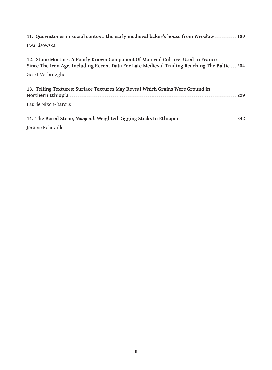| 189 11. Quernstones in social context: the early medieval baker's house from Wrocław                                                                                                                   |  |
|--------------------------------------------------------------------------------------------------------------------------------------------------------------------------------------------------------|--|
| Ewa Lisowska                                                                                                                                                                                           |  |
| 12. Stone Mortars: A Poorly Known Component Of Material Culture, Used In France<br>Since The Iron Age. Including Recent Data For Late Medieval Trading Reaching The Baltic_____204<br>Geert Verbrugghe |  |
| 13. Telling Textures: Surface Textures May Reveal Which Grains Were Ground in<br>229                                                                                                                   |  |
| Laurie Nixon-Darcus                                                                                                                                                                                    |  |
| 14. The Bored Stone, Nougouil: Weighted Digging Sticks In Ethiopia<br>.242<br>Jérôme Robitaille                                                                                                        |  |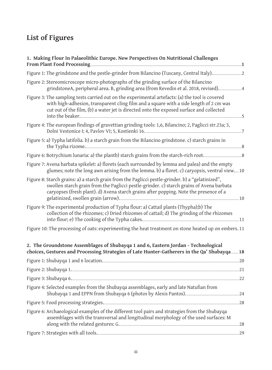## **List of Figures**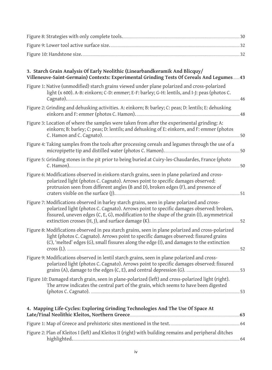| 3. Starch Grain Analysis Of Early Neolithic (Linearbandkeramik And Blicquy/<br>Villeneuve-Saint-Germain) Contexts: Experimental Grinding Tests Of Cereals And Legumes 43                                                                                                                                     |    |
|--------------------------------------------------------------------------------------------------------------------------------------------------------------------------------------------------------------------------------------------------------------------------------------------------------------|----|
| Figure 1: Native (unmodified) starch grains viewed under plane polarized and cross-polarized<br>light (x 600). A-B: einkorn; C-D: emmer; E-F: barley; G-H: lentils, and I-J: peas (photos C.<br>Cagnato).                                                                                                    | 46 |
| Figure 2: Grinding and dehusking activities. A: einkorn; B: barley; C: peas; D: lentils; E: dehusking                                                                                                                                                                                                        |    |
| Figure 3: Location of where the samples were taken from after the experimental grinding: A:<br>einkorn; B: barley; C: peas; D: lentils; and dehusking of E: einkorn, and F: emmer (photos<br>C. Hamon and C. Cagnato).                                                                                       | 50 |
| Figure 4: Taking samples from the tools after processing cereals and legumes through the use of a                                                                                                                                                                                                            |    |
| Figure 5: Grinding stones in the pit prior to being buried at Cuiry-les-Chaudardes, France (photo                                                                                                                                                                                                            |    |
| Figure 6: Modifications observed in einkorn starch grains, seen in plane polarized and cross-<br>polarized light (photos C. Cagnato). Arrows point to specific damages observed:<br>protrusion seen from different angles (B and D), broken edges (F), and presence of                                       |    |
| Figure 7: Modifications observed in barley starch grains, seen in plane polarized and cross-<br>polarized light (photos C. Cagnato). Arrows point to specific damages observed: broken,<br>fissured, uneven edges (C, E, G), modification to the shape of the grain (I), asymmetrical                        |    |
| Figure 8: Modifications observed in pea starch grains, seen in plane polarized and cross-polarized<br>light (photos C. Cagnato). Arrows point to specific damages observed: fissured grains<br>(C), 'melted' edges (G), small fissures along the edge (I), and damages to the extinction<br>$\frac{1}{2}$ 52 |    |
| Figure 9: Modifications observed in lentil starch grains, seen in plane polarized and cross-<br>polarized light (photos C. Cagnato). Arrows point to specific damages observed: fissured                                                                                                                     |    |
| Figure 10: Damaged starch grain, seen in plane-polarized (left) and cross-polarized light (right).<br>The arrow indicates the central part of the grain, which seems to have been digested                                                                                                                   |    |
| 4. Mapping Life-Cycles: Exploring Grinding Technologies And The Use Of Space At                                                                                                                                                                                                                              |    |
| Figure 1: Map of Greece and prehistoric sites mentioned in the text. [11] The summary set of 4                                                                                                                                                                                                               |    |

Figure 2: Plan of Kleitos I (left) and Kleitos II (right) with building remains and peripheral ditches highlighted. ............ 64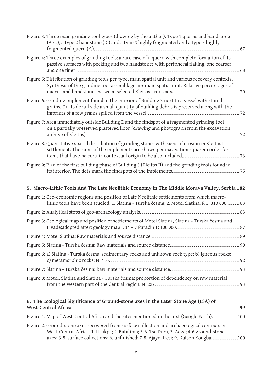| Figure 3: Three main grinding tool types (drawing by the author). Type 1 querns and handstone<br>(A-C.), a type 2 handstone (D.) and a type 3 highly fragmented and a type 3 highly             |
|-------------------------------------------------------------------------------------------------------------------------------------------------------------------------------------------------|
| Figure 4: Three examples of grinding tools: a rare case of a quern with complete formation of its<br>passive surfaces with pecking and two handstones with peripheral flaking, one coarser      |
| Figure 5: Distribution of grinding tools per type, main spatial unit and various recovery contexts.<br>Synthesis of the grinding tool assemblage per main spatial unit. Relative percentages of |
| Figure 6: Grinding implement found in the interior of Building 3 next to a vessel with stored<br>grains. On its dorsal side a small quantity of building debris is preserved along with the     |
| Figure 7: Area immediately outside Building E and the findspot of a fragmented grinding tool<br>on a partially preserved plastered floor (drawing and photograph from the excavation<br>72      |
| Figure 8: Quantitative spatial distribution of grinding stones with signs of erosion in Kleitos I<br>settlement. The sums of the implements are shown per excavation squarein order for         |
| Figure 9: Plan of the first building phase of Building 3 (Kleitos II) and the grinding tools found in                                                                                           |
| 5. Macro-Lithic Tools And The Late Neolithic Economy In The Middle Morava Valley, Serbia 82                                                                                                     |
| Figure 1: Geo-economic regions and position of Late Neolithic settlements from which macro-<br>lithic tools have been studied: 1. Slatina - Turska česma; 2. Motel Slatina. R 1: 310 000 83     |
|                                                                                                                                                                                                 |
| Figure 3: Geological map and position of settlements of Motel Slatina, Slatina - Turska česma and<br>Livade;adopted after: geology map L 34 - 7 Paraćin 1: 100 000. 2000 and 27 87              |
|                                                                                                                                                                                                 |
|                                                                                                                                                                                                 |
| Figure 6: a) Slatina - Turska česma: sedimentary rocks and unknown rock type; b) igneous rocks;                                                                                                 |
|                                                                                                                                                                                                 |
| Figure 8: Motel, Slatina and Slatina - Turska česma: proportion of dependency on raw material                                                                                                   |
| 6. The Ecological Significance of Ground-stone axes in the Later Stone Age (LSA) of                                                                                                             |
|                                                                                                                                                                                                 |
| Figure 2: Ground-stone axes recovered from surface collection and archaeological contexts in<br>West-Central Africa. 1. Itaakpa; 2. Batalimo; 3-6. Tse Dura, 3. Adze; 4-6 ground-stone          |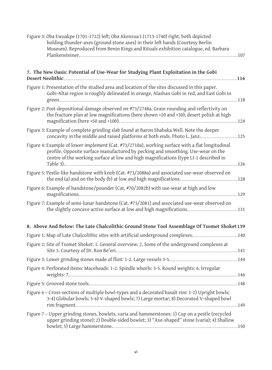| Figure 3: Oba Ewuakpe (1701-1712) left; Oba Akenzua I (1713-1740) right, both depicted<br>holding thunder-axes (ground stone axes) in their left hands (Courtesy Berlin<br>Museum). Reproduced from Benin Kings and Rituals exhibition catalogue, ed. Barbara               |      |
|-----------------------------------------------------------------------------------------------------------------------------------------------------------------------------------------------------------------------------------------------------------------------------|------|
|                                                                                                                                                                                                                                                                             | 107  |
| 7. The New Oasis: Potential of Use-Wear for Studying Plant Exploitation in the Gobi<br>Desert Neolithic Management of the Contract of the Contract of the Contract of the Contract of the Contract of                                                                       |      |
| Figure 1: Presentation of the studied area and location of the sites discussed in this paper.<br>Gobi-Altai region is roughly delineated in orange, Alashan Gobi in red, and East Gobi in                                                                                   |      |
| Figure 2: Post-depositional damage observed on #73/2748a. Grain rounding and reflectivity on<br>the fracture plan at low magnifications (here shown ×20 and ×30); desert polish at high<br>magnification (here ×50 and ×100). 24                                            |      |
| Figure 3: Example of complete grinding slab found at Baron Shabaka Well. Note the deeper                                                                                                                                                                                    |      |
| Figure 4: Example of lower implement (Cat. #73/2710a), working surface with a flat longitudinal<br>profile. Opposite surface manufactured by pecking and smoothing. Use-wear on the<br>centre of the working surface at low and high magnifications (type LI-1 described in | .126 |
| Figure 5: Pestle-like handstone with knob (Cat. #73/2088a) and associated use-wear observed on                                                                                                                                                                              |      |
| Figure 6: Example of handstone/pounder (Cat, #70/2082b) with use-wear at high and low<br>magnifications. 129                                                                                                                                                                |      |
| Figure 7: Example of semi-lunar handstone (Cat. #73/2081) and associated use-wear observed on                                                                                                                                                                               |      |
| 8. Above And Below: The Late Chalcolithic Ground Stone Tool Assemblage Of Tsomet Shoket 139                                                                                                                                                                                 |      |
|                                                                                                                                                                                                                                                                             |      |
| Figure 2: Site of Tsomet Shoket: 1. General overview: 2. Some of the underground complexes at                                                                                                                                                                               |      |
| Figure 3: Lower grinding stones made of flint: 1-2. Large vessels 3-5. [144]                                                                                                                                                                                                |      |
| Figure 4: Perforated items: Maceheads: 1-2. Spindle whorls: 3-5. Round weights: 6. Irregular                                                                                                                                                                                |      |
| Figure 5: Grooved stone tools. 148                                                                                                                                                                                                                                          |      |
| Figure 6 - Cross-sections of multiple bowl-types and a decorated basalt rim: 1-2) Upright bowls;<br>3-4) Globular bowls; 5-6) V-shaped bowls; 7) Large mortar; 8) Decorated V-shaped bowl<br>rim fragment. 149                                                              |      |
| Figure 7 - Upper grinding stones, bowlets, varia and hammerstones: 1) Cup on a pestle (recycled<br>upper grinding stone); 2) Double-sided bowlet; 3) "Axe-shaped" stone (varia); 4) Shallow<br>bowlet; 5) Large hammerstone. 150                                            |      |
|                                                                                                                                                                                                                                                                             |      |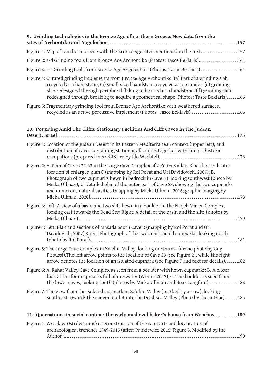| 9. Grinding technologies in the Bronze Age of northern Greece: New data from the<br>sites of Archontiko and Angelochori                                                                                                                                                                                                                                                                                                                                  |      |
|----------------------------------------------------------------------------------------------------------------------------------------------------------------------------------------------------------------------------------------------------------------------------------------------------------------------------------------------------------------------------------------------------------------------------------------------------------|------|
|                                                                                                                                                                                                                                                                                                                                                                                                                                                          |      |
|                                                                                                                                                                                                                                                                                                                                                                                                                                                          |      |
|                                                                                                                                                                                                                                                                                                                                                                                                                                                          |      |
| Figure 4: Curated grinding implements from Bronze Age Archontiko. (a) Part of a grinding slab<br>recycled as a handstone, (b) small-sized handstone recycled as a pounder, (c) grinding<br>slab redesigned through peripheral flaking to be used as a handstone, (d) grinding slab<br>redesigned through breaking to acquire a geometrical shape (Photos: Tasos Bekiaris)166                                                                             |      |
| Figure 5: Fragmentary grinding tool from Bronze Age Archontiko with weathered surfaces,                                                                                                                                                                                                                                                                                                                                                                  |      |
| 10. Pounding Amid The Cliffs: Stationary Facilities And Cliff Caves In The Judean                                                                                                                                                                                                                                                                                                                                                                        | .175 |
| Figure 1: Location of the Judean Desert in its Eastern Mediterranean context (upper left), and<br>distribution of caves containing stationary facilities together with late prehistoric                                                                                                                                                                                                                                                                  |      |
| Figure 2: A. Plan of Caves 32-33 in the Large Cave Complex of Ze'elim Valley. Black box indicates<br>location of enlarged plan C (mapping by Roi Porat and Uri Davidovich, 2007); B.<br>Photograph of two cupmarks hewn in bedrock in Cave 33, looking southwest (photo by<br>Micka Ullman); C. Detailed plan of the outer part of Cave 33, showing the two cupmarks<br>and numerous natural cavities (mapping by Micka Ullman, 2016; graphic imaging by | 178  |
| Figure 3: Left: A view of a basin and two slits hewn in a boulder in the Naqeb Mazen Complex,<br>looking east towards the Dead Sea; Right: A detail of the basin and the slits (photos by                                                                                                                                                                                                                                                                |      |
| Figure 4: Left: Plan and sections of Masada South Cave 2 (mapping by Roi Porat and Uri<br>Davidovich, 2007); Right: Photograph of the two constructed cupmarks, looking north<br>(photo by Roi Porat). <u>181</u>                                                                                                                                                                                                                                        |      |
| Figure 5: The Large Cave Complex in Ze'elim Valley, looking northwest (drone photo by Guy<br>Fitoussi). The left arrow points to the location of Cave 33 (see Figure 2), while the right<br>arrow denotes the location of an isolated cupmark (see Figure 7 and text for details)182                                                                                                                                                                     |      |
| Figure 6: A. Rahaf Valley Cave Complex as seen from a boulder with hewn cupmarks; B. A closer<br>look at the four cupmarks full of rainwater (Winter 2013); C. The boulder as seen from                                                                                                                                                                                                                                                                  |      |
| Figure 7: The view from the isolated cupmark in Ze'elim Valley (marked by arrow), looking<br>southeast towards the canyon outlet into the Dead Sea Valley (Photo by the author)185                                                                                                                                                                                                                                                                       |      |
|                                                                                                                                                                                                                                                                                                                                                                                                                                                          |      |
| Figure 1: Wrocław-Ostrów Tumski: reconstruction of the ramparts and localisation of<br>archaeological trenches 1949-2015 (after: Pankiewicz 2015: Figure 8. Modified by the                                                                                                                                                                                                                                                                              | 190  |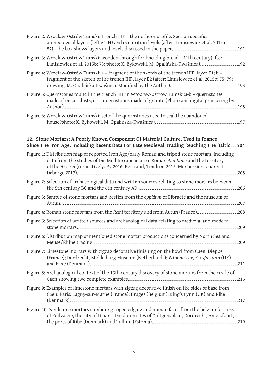| Figure 2: Wrocław-Ostrów Tumski: Trench IIIF - the nothern profile. Section specifies<br>archeological layers (left A1-H) and occupation levels (after: Limisiewicz et al. 2015a:                                                                                            |      |
|------------------------------------------------------------------------------------------------------------------------------------------------------------------------------------------------------------------------------------------------------------------------------|------|
| Figure 3: Wrocław-Ostrów Tumski: wooden through for kneading bread - 11th century (after:                                                                                                                                                                                    |      |
| Figure 4: Wrocław-Ostrów Tumski: a - fragment of the sketch of the trench IIIF, layer E1; b -<br>fragment of the sketch of the trench IIIF, layer E2 (after: Limisiewicz et al. 2015b: 75, 79;                                                                               |      |
| Figure 5: Quernstones found in the trench IIIF in Wrocław-Ostrów Tumski:a-b - quernstones<br>made of mica schists; c-j - quernstones made of granite (Photo and digital proccesing by                                                                                        |      |
| Figure 6: Wrocław-Ostrów Tumski: set of the quernstones used to seal the abandoned                                                                                                                                                                                           | 197  |
| 12. Stone Mortars: A Poorly Known Component Of Material Culture, Used In France<br>Since The Iron Age. Including Recent Data For Late Medieval Trading Reaching The Baltic 204                                                                                               |      |
| Figure 1: Distribution map of reported Iron Age/early Roman and tripod stone mortars, including<br>data from the studies of the Mediterranean area, Roman Aquitania and the territory<br>of the Arverni (respectively: Py 2016; Bertrand, Tendron 2012; Mennessier-Jouannet, | .205 |
| Figure 2: Selection of archaeological data and written sources relating to stone mortars between<br>the 5th century BC and the 6th century AD.                                                                                                                               | .206 |
| Figure 3: Sample of stone mortars and pestles from the oppidum of Bibracte and the museum of                                                                                                                                                                                 | .207 |
|                                                                                                                                                                                                                                                                              | .208 |
| Figure 5: Selection of written sources and archaeological data relating to medieval and modern<br>stone mortars.                                                                                                                                                             | .209 |
| Figure 6: Distribution map of mentioned stone mortar productions concerned by North Sea and                                                                                                                                                                                  | .209 |
| Figure 7: Limestone mortars with zigzag decorative finishing on the bowl from Caen, Dieppe<br>(France); Dordrecht, Middelburg Museum (Netherlands); Winchester, King's Lynn (UK)<br>and Faxe (Denmark). 211                                                                  |      |
| Figure 8: Archaeological context of the 13th century discovery of stone mortars from the castle of                                                                                                                                                                           |      |
| Figure 9: Examples of limestone mortars with zigzag decorative finish on the sides of base from<br>Caen, Paris, Lagny-sur-Marne (France); Bruges (Belgium); King's Lynn (UK) and Ribe                                                                                        |      |
| Figure 10: Sandstone mortars combining roped edging and human faces from the belgian fortress<br>of Poilvache, the city of Dinant; the dutch sites of Ooltgensplaat, Dordrecht, Amersfoort;<br>the ports of Ribe (Denmark) and Tallinn (Estonia). 219                        |      |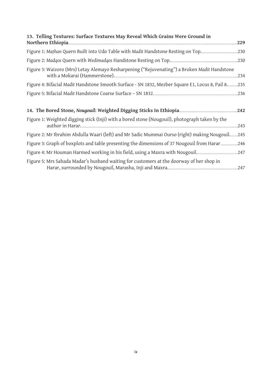| 13. Telling Textures: Surface Textures May Reveal Which Grains Were Ground in                                                                    |      |
|--------------------------------------------------------------------------------------------------------------------------------------------------|------|
| Northern Ethiopia                                                                                                                                | 229  |
|                                                                                                                                                  |      |
|                                                                                                                                                  |      |
| Figure 3: Waizoro (Mrs) Letay Alemayo Resharpening ("Rejuvenating") a Broken Madit Handstone<br>with a Mokarai (Hammerstone).                    | .234 |
| Figure 4: Bifacial Madit Handstone Smooth Surface - SN 1832, Mezber Square E1, Locus 8, Pail 8. 235                                              |      |
|                                                                                                                                                  |      |
| 14. The Bored Stone, Nougouil: Weighted Digging Sticks In Ethiopia [14. The Bored Stone, Nougouil: Weighted Digging Sticks In Ethiopia [14. 242] |      |
| Figure 1: Weighted digging stick (Inji) with a bored stone (Nougouil), photograph taken by the                                                   | .243 |
| Figure 2: Mr Ibrahim Abdulla Waari (left) and Mr Sadic Mummai Ourso (right) making Nougouil 245                                                  |      |
| Figure 3: Graph of boxplots and table presenting the dimensions of 37 Nougouil from Harar 246                                                    |      |
|                                                                                                                                                  |      |
| Figure 5: Mrs Sahada Madar's husband waiting for customers at the doorway of her shop in                                                         |      |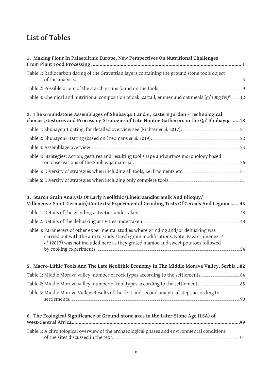## **List of Tables**

| 1. Making Flour In Palaeolithic Europe. New Perspectives On Nutritional Challenges                                                                                                                                                                                  |
|---------------------------------------------------------------------------------------------------------------------------------------------------------------------------------------------------------------------------------------------------------------------|
| Table 1: Radiocarbon dating of the Gravettian layers containing the ground stone tools object                                                                                                                                                                       |
|                                                                                                                                                                                                                                                                     |
| Table 3: Chemical and nutritional composition of oak, cattail, emmer and oat meals (g/100g fw)*12                                                                                                                                                                   |
| 2. The Groundstone Assemblages of Shubayqa 1 and 6, Eastern Jordan - Technological<br>choices, Gestures and Processing Strategies of Late Hunter-Gatherers in the Qa' Shubayqa18                                                                                    |
|                                                                                                                                                                                                                                                                     |
| Table 2: Shubayqa 6 Dating (based on (Yeomans et al. 2019). 22                                                                                                                                                                                                      |
|                                                                                                                                                                                                                                                                     |
| Table 4: Strategies: Action, gestures and resulting tool shape and surface morphology based                                                                                                                                                                         |
| Table 5: Diversity of strategies when including all tools, i.e. fragments etc. 5: 011 131 31                                                                                                                                                                        |
|                                                                                                                                                                                                                                                                     |
| 3. Starch Grain Analysis Of Early Neolithic (Linearbandkeramik And Blicquy/<br>Villeneuve-Saint-Germain) Contexts: Experimental Grinding Tests Of Cereals And Legumes 43                                                                                            |
| Table 1: Details of the grinding activities undertaken. 1988 1997 1998 1998 1999 1998 18                                                                                                                                                                            |
|                                                                                                                                                                                                                                                                     |
| Table 3: Parameters of other experimental studies where grinding and/or dehusking was<br>carried out with the aim to study starch grain modifications. Note: Pagan-Jimenez et<br>al. (2017) was not included here as they grated manioc and sweet potatoes followed |
| 5. Macro-Lithic Tools And The Late Neolithic Economy In The Middle Morava Valley, Serbia 82                                                                                                                                                                         |
|                                                                                                                                                                                                                                                                     |
|                                                                                                                                                                                                                                                                     |
| Table 3: Middle Morava Valley: Results of the first and second analytical steps according to                                                                                                                                                                        |
| 6. The Ecological Significance of Ground-stone axes in the Later Stone Age (LSA) of<br>.99                                                                                                                                                                          |
| Table 1: A chronological overview of the archaeological phases and environmental conditions                                                                                                                                                                         |
|                                                                                                                                                                                                                                                                     |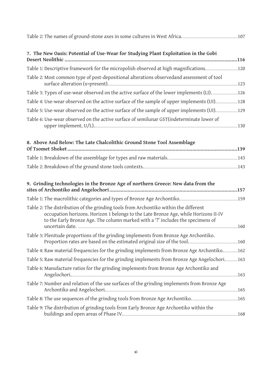| 7. The New Oasis: Potential of Use-Wear for Studying Plant Exploitation in the Gobi                                                                                                                                                                                                                                       |  |
|---------------------------------------------------------------------------------------------------------------------------------------------------------------------------------------------------------------------------------------------------------------------------------------------------------------------------|--|
|                                                                                                                                                                                                                                                                                                                           |  |
| Table 2: Most common type of post-depositional alterations observedand assessment of tool                                                                                                                                                                                                                                 |  |
|                                                                                                                                                                                                                                                                                                                           |  |
|                                                                                                                                                                                                                                                                                                                           |  |
|                                                                                                                                                                                                                                                                                                                           |  |
| Table 6: Use-wear observed on the active surface of semilunar GST (indeterminate lower of<br>upper implement, $U/L$ ). 130                                                                                                                                                                                                |  |
| 8. Above And Below: The Late Chalcolithic Ground Stone Tool Assemblage                                                                                                                                                                                                                                                    |  |
|                                                                                                                                                                                                                                                                                                                           |  |
|                                                                                                                                                                                                                                                                                                                           |  |
| 9. Grinding technologies in the Bronze Age of northern Greece: New data from the                                                                                                                                                                                                                                          |  |
|                                                                                                                                                                                                                                                                                                                           |  |
| Table 2: The distribution of the grinding tools from Archontiko within the different<br>occupation horizons. Horizon 1 belongs to the Late Bronze Age, while Horizons II-IV<br>to the Early Bronze Age. The column marked with a '?' includes the specimens of                                                            |  |
| Table 3: Plenitude proportions of the grinding implements from Bronze Age Archontiko.                                                                                                                                                                                                                                     |  |
| Table 4: Raw material frequencies for the grinding implements from Bronze Age Archontiko162                                                                                                                                                                                                                               |  |
| Table 5: Raw material frequencies for the grinding implements from Bronze Age Angelochori163                                                                                                                                                                                                                              |  |
| Table 6: Manufacture ratios for the grinding implements from Bronze Age Archontiko and                                                                                                                                                                                                                                    |  |
| Table 7: Number and relation of the use surfaces of the grinding implements from Bronze Age<br>Archontiko and Angelochori.                                                                                                                                                                                                |  |
|                                                                                                                                                                                                                                                                                                                           |  |
| Table 9: The distribution of grinding tools from Early Bronze Age Archontiko within the<br>buildings and open areas of Phase IV. [168] The Contract of the U.S. (168] The U.S. (168] The U.S. (168] The U.S. (168] The U.S. (168] The U.S. (168] The U.S. (168] The U.S. (168] The U.S. (168] The U.S. (168] The U.S. (16 |  |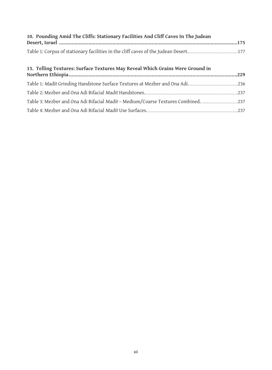| 10. Pounding Amid The Cliffs: Stationary Facilities And Cliff Caves In The Judean |  |
|-----------------------------------------------------------------------------------|--|
|                                                                                   |  |
|                                                                                   |  |

#### **13. Telling Textures: Surface Textures May Reveal Which Grains Were Ground in**

| Table 2: Mezber and Ona Adi Bifacial Madit Handstones. 237                        |  |
|-----------------------------------------------------------------------------------|--|
| Table 3: Mezber and Ona Adi Bifacial Madit - Medium/Coarse Textures Combined. 237 |  |
| Table 4: Mezber and Ona Adi Bifacial Madit Use Surfaces. 237                      |  |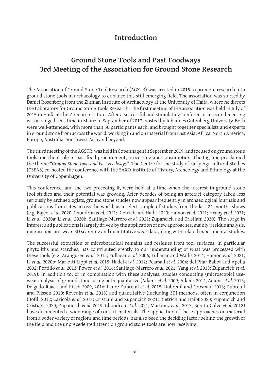#### **Introduction**

### **Ground Stone Tools and Past Foodways 3rd Meeting of the Association for Ground Stone Research**

The Association of Ground Stone Tool Research (AGSTR) was created in 2015 to promote research into ground stone tools in archaeology to enhance this still emerging field. The association was started by Daniel Rosenberg from the Zinman Institute of Archaeology at the University of Haifa, where he directs the Laboratory for Ground Stone Tools Research. The first meeting of the association was held in July of 2015 in Haifa at the Zinman Institute. After a successful and stimulating conference, a second meeting was arranged, this time in Mainz in September of 2017, hosted by Johannes Gutenberg University. Both were well-attended, with more than 50 participants each, and brought together specialists and experts in ground stone from across the world, working in and on material from East Asia, Africa, North America, Europe, Australia, Southwest Asia and beyond.

The third meeting of the AGSTR, was held in Copenhagen in September 2019, and focused on ground stone tools and their role in past food procurement, processing and consumption. The tag-line proclaimed the theme:"*Ground Stone Tools and Past Foodways*". The Centre for the study of Early Agricultural Studies (CSEAS) co-hosted the conference with the SAXO-institute of History, Archeology and Ethnology at the University of Copenhagen.

This conference, and the two preceding it, were held at a time when the interest in ground stone tool studies and their potential was growing. After decades of being an artefact category taken less seriously by archaeologists, ground stone studies now appear frequently in archaeological journals and publications from sites across the world, as a select sample of studies from the last 24 months shows (e.g. Bajeot *et al.* 2020; Chondrou *et al.* 2021; Dietrich and Haibt 2020; Hamon *et al.* 2021; Hruby *et al.* 2021; Li *et al.* 2020a; Li *et al.* 2020b; Santiago-Marrero *et al.* 2021; Zupancich and Cristiani 2020). The surge in interest and publications is largely driven by the application of new approaches, mainly: residue analysis, microscopic use-wear, 3D scanning and quantitative wear data, along with related experimental studies.

The successful extraction of microbotanical remains and residues from tool surfaces, in particular phytoliths and starches, has contributed greatly to our understanding of what was processed with these tools (e.g. Aranguren *et al.* 2015; Fullagar *et al.* 2006; Fullagar and Wallis 2014; Hamon *et al.* 2021; Li *et al.* 2020b; Mariotti Lippi *et al.* 2015; Nadel *et al.* 2012; Pearsall *et al.* 2004; del Pilar Babot and Apella 2002; Portillo *et al.* 2013; Power *et al.* 2016; Santiago-Marrero *et al.* 2021; Yang *et al.* 2013; Zupancich *et al.* 2019). In addition to, or in combination with these analyses, studies conducting (microscopic) usewear analysis of ground stone, using both qualitative (Adams *et al.* 2009; Adams 2014; Adams *et al.* 2015; Delgado-Raack and Risch 2009, 2016; Laure Dubreuil *et al.* 2015; Dubreuil and Grosman 2013; Dubreuil and Plisson 2010; Revedin *et al.* 2018) and quantitative (including 3D) methods, often in conjunction (Bofill 2012; Caricola *et al.* 2018; Cristiani and Zupancich 2021; Dietrich and Haibt 2020; Zupancich and Cristiani 2020; Zupancich *et al.* 2019; Chondrou *et al.* 2021; Martinez *et al.* 2013; Benito‐Calvo *et al.* 2018) have documented a wide range of contact materials. The application of these approaches on material from a wider variety of regions and time periods, has also been the deciding factor behind the growth of the field and the unprecedented attention ground stone tools are now receiving.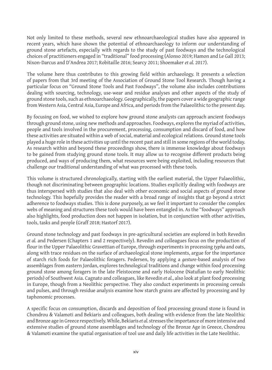Not only limited to these methods, several new ethnoarchaeological studies have also appeared in recent years, which have shown the potential of ethnoarchaeology to inform our understanding of ground stone artefacts, especially with regards to the study of past foodways and the technological choices of practitioners engaged in "traditional" food processing (Alonso 2019; Hamon and Le Gall 2013; Nixon-Darcus and D'Andrea 2017; Robitaille 2016; Searcy 2011; Shoemaker *et al.* 2017).

The volume here thus contributes to this growing field within archaeology. It presents a selection of papers from that 3rd meeting of the Association of Ground Stone Tool Research. Though having a particular focus on "Ground Stone Tools and Past Foodways", the volume also includes contributions dealing with sourcing, technology, use-wear and residue analyses and other aspects of the study of ground stone tools, such as ethnoarchaeology. Geographically, the papers cover a wide geographic range from Western Asia, Central Asia, Europe and Africa, and periods from the Palaeolithic to the present day.

By focusing on food, we wished to explore how ground stone analysts can approach ancient foodways through ground stone, using new methods and approaches. Foodways, explores the myriad of activities, people and tools involved in the procurement, processing, consumption and discard of food, and how these activities are situated within a web of social, material and ecological relations. Ground stone tools played a huge role in these activities up until the recent past and still in some regions of the world today. As research within and beyond these proceedings show, there is immense knowledge about foodways to be gained from studying ground stone tools. It may allow us to recognise different products being produced, and ways of producing them, what resources were being exploited, including resources that challenge our traditional understanding of what was processed with these tools.

This volume is structured chronologically, starting with the earliest material, the Upper Palaeolithic, though not discriminating between geographic locations. Studies explicitly dealing with foodways are thus interspersed with studies that also deal with other economic and social aspects of ground stone technology. This hopefully provides the reader with a broad range of insights that go beyond a strict adherence to foodways studies. This is done purposely, as we feel it important to consider the complex webs of meaning and structures these tools would have been entangled in. As the "foodways" approach also highlights, food production does not happen in isolation, but in conjunction with other activities, tools, tasks and people (Graff 2018; Hastorf 2017).

Ground stone technology and past foodways in pre-agricultural societies are explored in both Revedin *et al.* and Pedersen (Chapters 1 and 2 respectively). Revedin and colleagues focus on the production of flour in the Upper Palaeolithic Gravettian of Europe, through experiments in processing *typha* and oats, along with trace residues on the surface of archaeological stone implements, argue for the importance of starch rich foods for Palaeolithic foragers. Pedersen, by applying a *gesture*-based analysis of two assemblages from eastern Jordan, explores technological traditions and change within food processing ground stone among foragers in the late Pleistocene and early Holocene (Natufian to early Neolithic periods) of Southwest Asia. Cagnato and colleagues, like Revedin *et al.*, also look at plant food processing in Europe, though from a Neolithic perspective. They also conduct experiments in processing cereals and pulses, and through residue analysis examine how starch grains are affected by processing and by taphonomic processes.

A specific focus on consumption, discards and deposition of food processing ground stone is found in Chondrou & Valamoti and Bekiaris and colleagues, both dealing with evidence from the late Neolithic and Bronze age in Greece respectively. While, Bekiaris *et al.* stresses the importance of more intensive and extensive studies of ground stone assemblages and technology of the Bronze Age in Greece, Chondrou & Valamoti examine the spatial organisation of tool use and daily life activities in the Late Neolithic.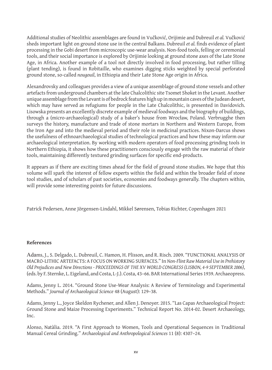Additional studies of Neolithic assemblages are found in Vučković, Orijimie and Dubreuil *et al.* Vučković sheds important light on ground stone use in the central Balkans. Dubreuil *et al.* finds evidence of plant processing in the Gobi desert from microscopic use-wear analysis. Non-food tools, felling or ceremonial tools, and their social importance is explored by Orijimie looking at ground stone axes of the Late Stone Age, in Africa. Another example of a tool not directly involved in food processing, but rather tilling (plant tending), is found in Robitaille, who examines digging sticks weighted by special perforated ground stone, so-called *nougouil*, in Ethiopia and their Late Stone Age origin in Africa.

Alexandrovsky and colleagues provides a view of a unique assemblage of ground stone vessels and other artefacts from underground chambers at the late Chalcolithic site Tsomet Shoket in the Levant. Another unique assemblage from the Levant is of bedrock features high up in mountain caves of the Judean desert, which may have served as refugiums for people in the Late Chalcolithic, is presented in Davidovich. Lisowska presents an excellently discrete example of medieval foodways and the biography of buildings, through a (micro-archaeological) study of a baker's house from Wrocław, Poland. Verbrugghe then surveys the history, manufacture and trade of stone mortars in Northern and Western Europe, from the Iron Age and into the medieval period and their role in medicinal practices. Nixon-Darcus shows the usefulness of ethnoarchaeological studies of technological practices and how these may inform our archaeological interpretation. By working with modern operators of food processing grinding tools in Northern Ethiopia, it shows how these practitioners consciously engage with the raw material of their tools, maintaining differently textured grinding surfaces for specific end-products.

It appears as if there are exciting times ahead for the field of ground stone studies. We hope that this volume will spark the interest of fellow experts within the field and within the broader field of stone tool studies, and of scholars of past societies, economies and foodways generally. The chapters within, will provide some interesting points for future discussions.

Patrick Pedersen, Anne Jörgensen-Lindahl, Mikkel Sørensen, Tobias Richter, Copenhagen 2021

#### **References**

Adams, J., S. Delgado, L. Dubreuil, C. Hamon, H. Plisson, and R. Risch. 2009. "FUNCTIONAL ANALYSIS OF MACRO-LITHIC ARTEFACTS: A FOCUS ON WORKING SURFACES." In *Non-Flint Raw Material Use in Prehistory Old Prejudices and New Directions - PROCEEDINGS OF THE XV WORLD CONGRESS (LISBON, 4-9 SEPTEMBER 2006)*, (eds. by F. Sternke, L. Eigeland, and Costa, L-J.). Costa, 43–66. BAR International Series 1939. Archaeopress.

Adams, Jenny L. 2014. "Ground Stone Use-Wear Analysis: A Review of Terminology and Experimental Methods." *Journal of Archaeological Science* 48 (August): 129–38.

Adams, Jenny L., Joyce Skeldon Rychener, and Allen J. Denoyer. 2015. "Las Capas Archaeological Project: Ground Stone and Maize Processing Experiments." Technical Report No. 2014-02. Desert Archaeology, Inc.

Alonso, Natàlia. 2019. "A First Approach to Women, Tools and Operational Sequences in Traditional Manual Cereal Grinding." *Archaeological and Anthropological Sciences* 11 (8): 4307–24.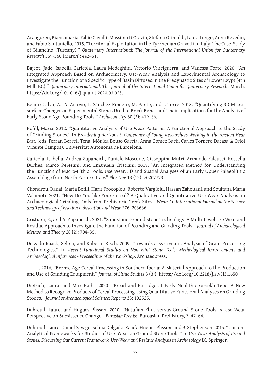Aranguren, Biancamaria, Fabio Cavulli, Massimo D'Orazio, Stefano Grimaldi, Laura Longo, Anna Revedin, and Fabio Santaniello. 2015. "Territorial Exploitation in the Tyrrhenian Gravettian Italy: The Case-Study of Bilancino (Tuscany)." *Quaternary International: The Journal of the International Union for Quaternary Research* 359-360 (March): 442–51.

Bajeot, Jade, Isabella Caricola, Laura Medeghini, Vittorio Vinciguerra, and Vanessa Forte. 2020. "An Integrated Approach Based on Archaeometry, Use-Wear Analysis and Experimental Archaeology to Investigate the Function of a Specific Type of Basin Diffused in the Predynastic Sites of Lower Egypt (4th Mill. BC)." *Quaternary International: The Journal of the International Union for Quaternary Research*, March. https://doi.org/10.1016/j.quaint.2020.03.023.

Benito-Calvo, A., A. Arroyo, L. Sánchez-Romero, M. Pante, and I. Torre. 2018. "Quantifying 3D Microsurface Changes on Experimental Stones Used to Break Bones and Their Implications for the Analysis of Early Stone Age Pounding Tools." *Archaeometry* 60 (3): 419–36.

Bofill, Maria. 2012. "Quantitative Analysis of Use-Wear Patterns: A Functional Approach to the Study of Grinding Stones." In *Broadening Horizons 3. Conference of Young Researchers Working in the Ancient Near East*, (eds. Ferran Borrell Tena, Mònica Bouso García, Anna Gómez Bach, Carles Tornero Dacasa & Oriol Vicente Campos). Universitat Autònoma de Barcelona.

Caricola, Isabella, Andrea Zupancich, Daniele Moscone, Giuseppina Mutri, Armando Falcucci, Rossella Duches, Marco Peresani, and Emanuela Cristiani. 2018. "An Integrated Method for Understanding the Function of Macro-Lithic Tools. Use Wear, 3D and Spatial Analyses of an Early Upper Palaeolithic Assemblage from North Eastern Italy." *PloS One* 13 (12): e0207773.

Chondrou, Danai, Maria Bofill, Haris Procopiou, Roberto Vargiolu, Hassan Zahouani, and Soultana Maria Valamoti. 2021. "How Do You like Your Cereal? A Qualitative and Quantitative Use-Wear Analysis on Archaeological Grinding Tools from Prehistoric Greek Sites." *Wear: An International Journal on the Science and Technology of Friction Lubrication and Wear* 276, 203636.

Cristiani, E., and A. Zupancich. 2021. "Sandstone Ground Stone Technology: A Multi-Level Use Wear and Residue Approach to Investigate the Function of Pounding and Grinding Tools." *Journal of Archaeological Method and Theory* 28 (2): 704–35.

Delgado-Raack, Selina, and Roberto Risch. 2009. "Towards a Systematic Analysis of Grain Processing Technologies." In *Recent Functional Studies on Non Flint Stone Tools: Methodogical Improvements and Archaeological Inferences - Proceedings of the Workshop*. Archaeopress.

———. 2016. "Bronze Age Cereal Processing in Southern Iberia: A Material Approach to the Production and Use of Grinding Equipment." *Journal of Lithic Studies* 3 (3)). https://doi.org/10.2218/jls.v3i3.1650.

Dietrich, Laura, and Max Haibt. 2020. "Bread and Porridge at Early Neolithic Göbekli Tepe: A New Method to Recognize Products of Cereal Processing Using Quantitative Functional Analyses on Grinding Stones." *Journal of Archaeological Science: Reports* 33: 102525.

Dubreuil, Laure, and Hugues Plisson. 2010. "Natufian Flint versus Ground Stone Tools: A Use-Wear Perspective on Subsistence Change." *Eurasian Prehist*, Euroasian Prehistory, 7: 47–64.

Dubreuil, Laure, Daniel Savage, Selina Delgado-Raack, Hugues Plisson, and B. Stephenson. 2015. "Current Analytical Frameworks for Studies of Use–Wear on Ground Stone Tools." In *Use-Wear Analysis of Ground Stones: Discussing Our Current Framework. Use-Wear and Residue Analysis in Archaeology.IX*. Springer.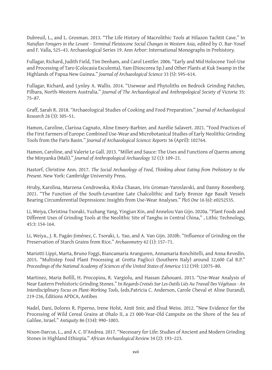Dubreuil, L., and L. Grosman. 2013. "The Life History of Macrolithic Tools at Hilazon Tachtit Cave." In *Natufian Foragers in the Levant - Terminal Pleistocene Social Changes in Western Asia*, edited by O. Bar-Yosef and F. Valla, 525–43. Archaeological Series 19. Ann Arbor: International Monographs in Prehistory.

Fullagar, Richard, Judith Field, Tim Denham, and Carol Lentfer. 2006. "Early and Mid Holocene Tool-Use and Processing of Taro (Colocasia Esculenta), Yam (Dioscorea Sp.) and Other Plants at Kuk Swamp in the Highlands of Papua New Guinea." *Journal of Archaeological Science* 33 (5): 595–614.

Fullagar, Richard, and Lynley A. Wallis. 2014. "Usewear and Phytoliths on Bedrock Grinding Patches, Pilbara, North-Western Australia." *Journal of The Archaeological and Anthropological Society of Victoria* 35: 75–87.

Graff, Sarah R. 2018. "Archaeological Studies of Cooking and Food Preparation." *Journal of Archaeological Research* 26 (3): 305–51.

Hamon, Caroline, Clarissa Cagnato, Aline Emery-Barbier, and Aurélie Salavert. 2021. "Food Practices of the First Farmers of Europe: Combined Use-Wear and Microbotanical Studies of Early Neolithic Grinding Tools from the Paris Basin." *Journal of Archaeological Science: Reports* 36 (April): 102764.

Hamon, Caroline, and Valerie Le Gall. 2013. "Millet and Sauce: The Uses and Functions of Querns among the Minyanka (Mali)." *Journal of Anthropological Archaeology* 32 (1): 109–21.

Hastorf, Christine Ann. 2017. *The Social Archaeology of Food, Thinking about Eating from Prehistory to the Present*. New York: Cambridge University Press.

Hruby, Karolina, Marzena Cendrowska, Rivka Chasan, Iris Groman-Yaroslavski, and Danny Rosenberg. 2021. "The Function of the South-Levantine Late Chalcolithic and Early Bronze Age Basalt Vessels Bearing Circumferential Depressions: Insights from Use-Wear Analyses." *PloS One* 16 (6): e0252535.

Li, Weiya, Christina Tsoraki, Yuzhang Yang, Yingjun Xin, and Annelou Van Gijn. 2020a. "Plant Foods and Different Uses of Grinding Tools at the Neolithic Site of Tanghu in Central China," , Lithic Technology, 45:3: 154-164.

Li, Weiya., J. R. Pagán‐Jiménez, C. Tsoraki, L. Yao, and A. Van Gijn. 2020b. "Influence of Grinding on the Preservation of Starch Grains from Rice." *Archaeometry* 62 (1): 157–71.

Mariotti Lippi, Marta, Bruno Foggi, Biancamaria Aranguren, Annamaria Ronchitelli, and Anna Revedin. 2015. "Multistep Food Plant Processing at Grotta Paglicci (Southern Italy) around 32,600 Cal B.P." *Proceedings of the National Academy of Sciences of the United States of America* 112 (39): 12075–80.

Martinez, Maria Bofill, H. Procopiou, R. Vargiolu, and Hassan Zahouani. 2013. "Use-Wear Analysis of Near Eastern Prehistoric Grinding Stones." In *Regards Croisés Sur Les Outils Liés Au Travail Des Végétaux - An Interdisciplinary Focus on Plant-Working Tools*, (eds.Patricia C. Anderson, Carole Cheval et Aline Durand), 219-236, Éditions APDCA, Antibes

Nadel, Dani, Dolores R. Piperno, Irene Holst, Ainit Snir, and Ehud Weiss. 2012. "New Evidence for the Processing of Wild Cereal Grains at Ohalo II, a 23 000-Year-Old Campsite on the Shore of the Sea of Galilee, Israel." *Antiquity* 86 (334): 990–1003.

Nixon-Darcus, L., and A. C. D'Andrea. 2017. "Necessary for Life: Studies of Ancient and Modern Grinding Stones in Highland Ethiopia." *African Archaeological Review* 34 (2): 193–223.